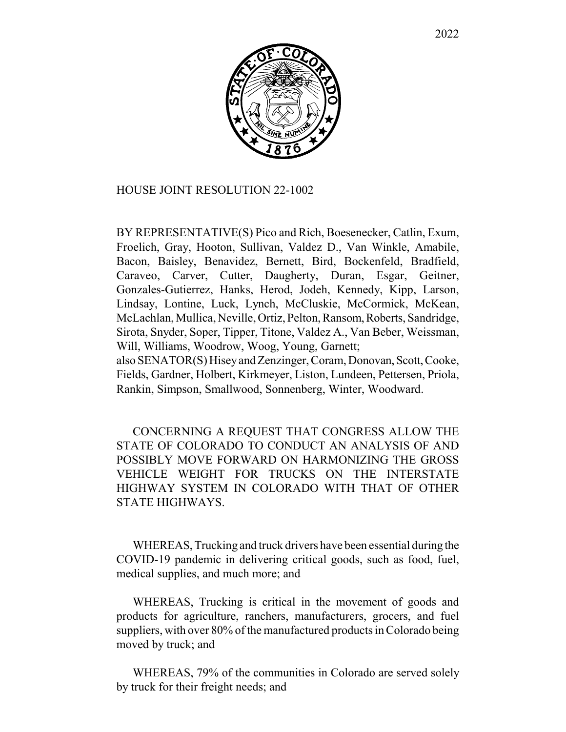

## HOUSE JOINT RESOLUTION 22-1002

BY REPRESENTATIVE(S) Pico and Rich, Boesenecker, Catlin, Exum, Froelich, Gray, Hooton, Sullivan, Valdez D., Van Winkle, Amabile, Bacon, Baisley, Benavidez, Bernett, Bird, Bockenfeld, Bradfield, Caraveo, Carver, Cutter, Daugherty, Duran, Esgar, Geitner, Gonzales-Gutierrez, Hanks, Herod, Jodeh, Kennedy, Kipp, Larson, Lindsay, Lontine, Luck, Lynch, McCluskie, McCormick, McKean, McLachlan, Mullica, Neville, Ortiz, Pelton, Ransom, Roberts, Sandridge, Sirota, Snyder, Soper, Tipper, Titone, Valdez A., Van Beber, Weissman, Will, Williams, Woodrow, Woog, Young, Garnett;

also SENATOR(S) Hisey and Zenzinger, Coram, Donovan, Scott, Cooke, Fields, Gardner, Holbert, Kirkmeyer, Liston, Lundeen, Pettersen, Priola, Rankin, Simpson, Smallwood, Sonnenberg, Winter, Woodward.

CONCERNING A REQUEST THAT CONGRESS ALLOW THE STATE OF COLORADO TO CONDUCT AN ANALYSIS OF AND POSSIBLY MOVE FORWARD ON HARMONIZING THE GROSS VEHICLE WEIGHT FOR TRUCKS ON THE INTERSTATE HIGHWAY SYSTEM IN COLORADO WITH THAT OF OTHER STATE HIGHWAYS.

WHEREAS, Trucking and truck drivers have been essential during the COVID-19 pandemic in delivering critical goods, such as food, fuel, medical supplies, and much more; and

WHEREAS, Trucking is critical in the movement of goods and products for agriculture, ranchers, manufacturers, grocers, and fuel suppliers, with over 80% of the manufactured products in Colorado being moved by truck; and

WHEREAS, 79% of the communities in Colorado are served solely by truck for their freight needs; and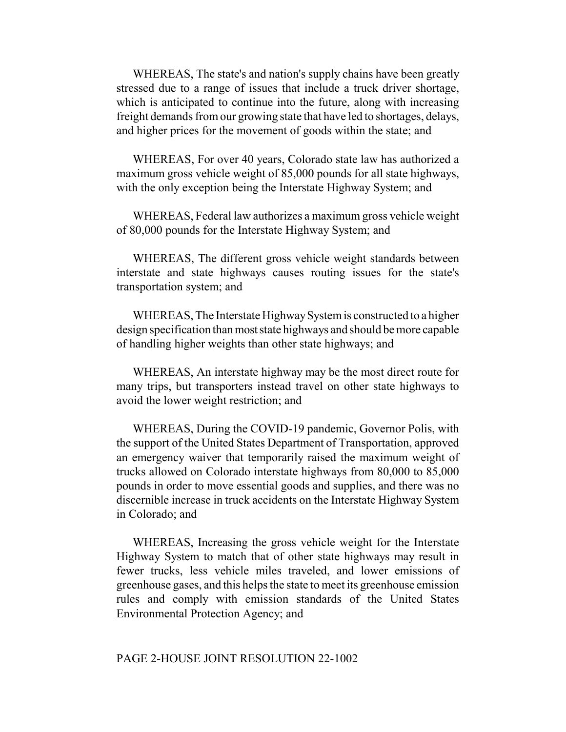WHEREAS, The state's and nation's supply chains have been greatly stressed due to a range of issues that include a truck driver shortage, which is anticipated to continue into the future, along with increasing freight demands from our growing state that have led to shortages, delays, and higher prices for the movement of goods within the state; and

WHEREAS, For over 40 years, Colorado state law has authorized a maximum gross vehicle weight of 85,000 pounds for all state highways, with the only exception being the Interstate Highway System; and

WHEREAS, Federal law authorizes a maximum gross vehicle weight of 80,000 pounds for the Interstate Highway System; and

WHEREAS, The different gross vehicle weight standards between interstate and state highways causes routing issues for the state's transportation system; and

WHEREAS, The Interstate Highway System is constructed to a higher design specification than most state highways and should be more capable of handling higher weights than other state highways; and

WHEREAS, An interstate highway may be the most direct route for many trips, but transporters instead travel on other state highways to avoid the lower weight restriction; and

WHEREAS, During the COVID-19 pandemic, Governor Polis, with the support of the United States Department of Transportation, approved an emergency waiver that temporarily raised the maximum weight of trucks allowed on Colorado interstate highways from 80,000 to 85,000 pounds in order to move essential goods and supplies, and there was no discernible increase in truck accidents on the Interstate Highway System in Colorado; and

WHEREAS, Increasing the gross vehicle weight for the Interstate Highway System to match that of other state highways may result in fewer trucks, less vehicle miles traveled, and lower emissions of greenhouse gases, and this helps the state to meet its greenhouse emission rules and comply with emission standards of the United States Environmental Protection Agency; and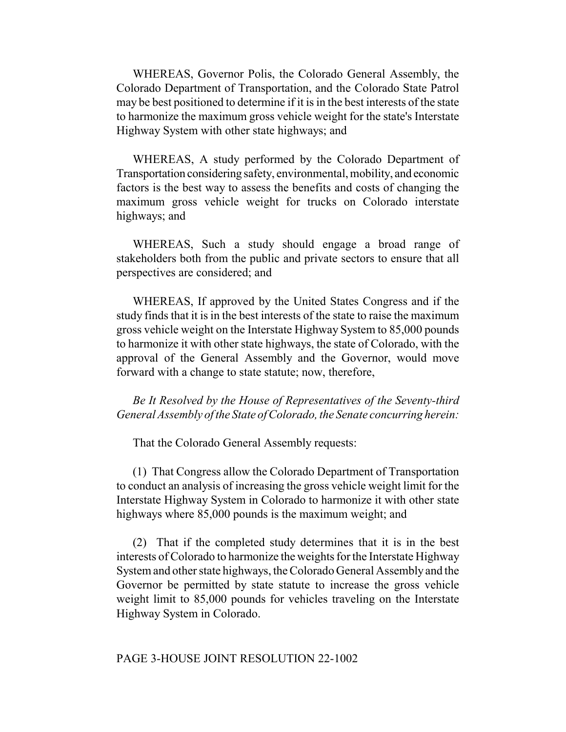WHEREAS, Governor Polis, the Colorado General Assembly, the Colorado Department of Transportation, and the Colorado State Patrol may be best positioned to determine if it is in the best interests of the state to harmonize the maximum gross vehicle weight for the state's Interstate Highway System with other state highways; and

WHEREAS, A study performed by the Colorado Department of Transportation considering safety, environmental, mobility, and economic factors is the best way to assess the benefits and costs of changing the maximum gross vehicle weight for trucks on Colorado interstate highways; and

WHEREAS, Such a study should engage a broad range of stakeholders both from the public and private sectors to ensure that all perspectives are considered; and

WHEREAS, If approved by the United States Congress and if the study finds that it is in the best interests of the state to raise the maximum gross vehicle weight on the Interstate Highway System to 85,000 pounds to harmonize it with other state highways, the state of Colorado, with the approval of the General Assembly and the Governor, would move forward with a change to state statute; now, therefore,

*Be It Resolved by the House of Representatives of the Seventy-third General Assembly of the State of Colorado, the Senate concurring herein:*

That the Colorado General Assembly requests:

(1) That Congress allow the Colorado Department of Transportation to conduct an analysis of increasing the gross vehicle weight limit for the Interstate Highway System in Colorado to harmonize it with other state highways where 85,000 pounds is the maximum weight; and

(2) That if the completed study determines that it is in the best interests of Colorado to harmonize the weights for the Interstate Highway System and other state highways, the Colorado General Assembly and the Governor be permitted by state statute to increase the gross vehicle weight limit to 85,000 pounds for vehicles traveling on the Interstate Highway System in Colorado.